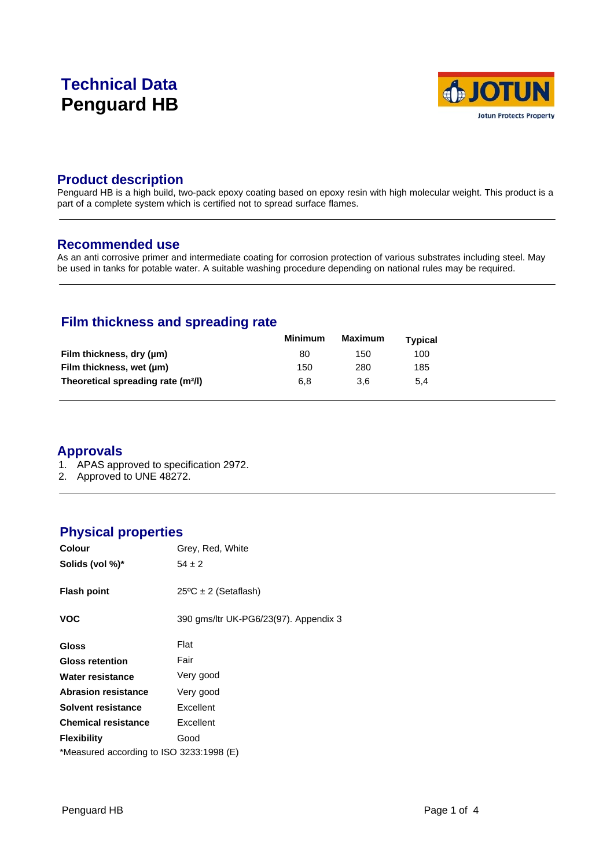# **Technical Data Penguard HB**



# **Product description**

Penguard HB is a high build, two-pack epoxy coating based on epoxy resin with high molecular weight. This product is a part of a complete system which is certified not to spread surface flames.

# **Recommended use**

As an anti corrosive primer and intermediate coating for corrosion protection of various substrates including steel. May be used in tanks for potable water. A suitable washing procedure depending on national rules may be required.

# **Film thickness and spreading rate**

|                                                | Minimum | <b>Maximum</b> | Typical |  |
|------------------------------------------------|---------|----------------|---------|--|
| Film thickness, dry (µm)                       | 80      | 150            | 100     |  |
| Film thickness, wet (µm)                       | 150     | 280            | 185     |  |
| Theoretical spreading rate (m <sup>2</sup> /l) | 6.8     | 3.6            | 5.4     |  |

# **Approvals**

- 1. APAS approved to specification 2972.
- 2. Approved to UNE 48272.

# **Physical properties**

| <b>Colour</b>                            | Grey, Red, White                      |
|------------------------------------------|---------------------------------------|
| Solids (vol %)*                          | $54 \pm 2$                            |
| <b>Flash point</b>                       | $25^{\circ}$ C ± 2 (Setaflash)        |
| <b>VOC</b>                               | 390 gms/ltr UK-PG6/23(97). Appendix 3 |
| <b>Gloss</b>                             | Flat                                  |
| <b>Gloss retention</b>                   | Fair                                  |
| Water resistance                         | Very good                             |
| <b>Abrasion resistance</b>               | Very good                             |
| Solvent resistance                       | Excellent                             |
| <b>Chemical resistance</b>               | Excellent                             |
| <b>Flexibility</b>                       | Good                                  |
| *Measured according to ISO 3233:1998 (E) |                                       |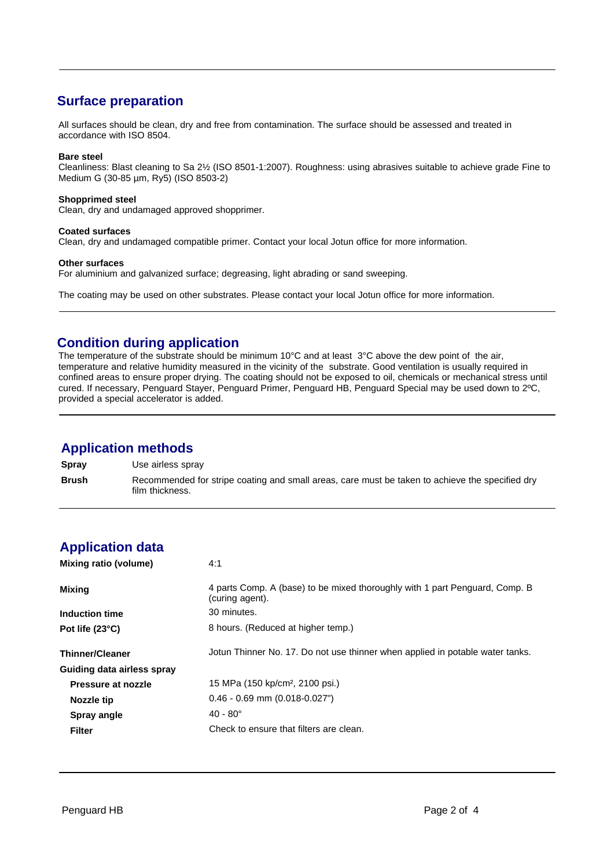# **Surface preparation**

All surfaces should be clean, dry and free from contamination. The surface should be assessed and treated in accordance with ISO 8504.

### **Bare steel**

Cleanliness: Blast cleaning to Sa 2½ (ISO 8501-1:2007). Roughness: using abrasives suitable to achieve grade Fine to Medium G (30-85 µm, Ry5) (ISO 8503-2)

### **Shopprimed steel**

Clean, dry and undamaged approved shopprimer.

### **Coated surfaces**

Clean, dry and undamaged compatible primer. Contact your local Jotun office for more information.

### **Other surfaces**

For aluminium and galvanized surface; degreasing, light abrading or sand sweeping.

The coating may be used on other substrates. Please contact your local Jotun office for more information.

# **Condition during application**

The temperature of the substrate should be minimum 10°C and at least 3°C above the dew point of the air, temperature and relative humidity measured in the vicinity of the substrate. Good ventilation is usually required in confined areas to ensure proper drying. The coating should not be exposed to oil, chemicals or mechanical stress until cured. If necessary, Penguard Stayer, Penguard Primer, Penguard HB, Penguard Special may be used down to 2ºC, provided a special accelerator is added.

# **Application methods**

**Spray** Use airless spray **Brush** Recommended for stripe coating and small areas, care must be taken to achieve the specified dry film thickness.

# **Application data**

| Mixing ratio (volume)      | 4:1                                                                                            |
|----------------------------|------------------------------------------------------------------------------------------------|
| Mixing                     | 4 parts Comp. A (base) to be mixed thoroughly with 1 part Penguard, Comp. B<br>(curing agent). |
| Induction time             | 30 minutes.                                                                                    |
| Pot life (23°C)            | 8 hours. (Reduced at higher temp.)                                                             |
| <b>Thinner/Cleaner</b>     | Jotun Thinner No. 17. Do not use thinner when applied in potable water tanks.                  |
| Guiding data airless spray |                                                                                                |
| Pressure at nozzle         | 15 MPa (150 kp/cm <sup>2</sup> , 2100 psi.)                                                    |
| Nozzle tip                 | $0.46 - 0.69$ mm $(0.018 - 0.027")$                                                            |
| Spray angle                | $40 - 80^{\circ}$                                                                              |
| <b>Filter</b>              | Check to ensure that filters are clean.                                                        |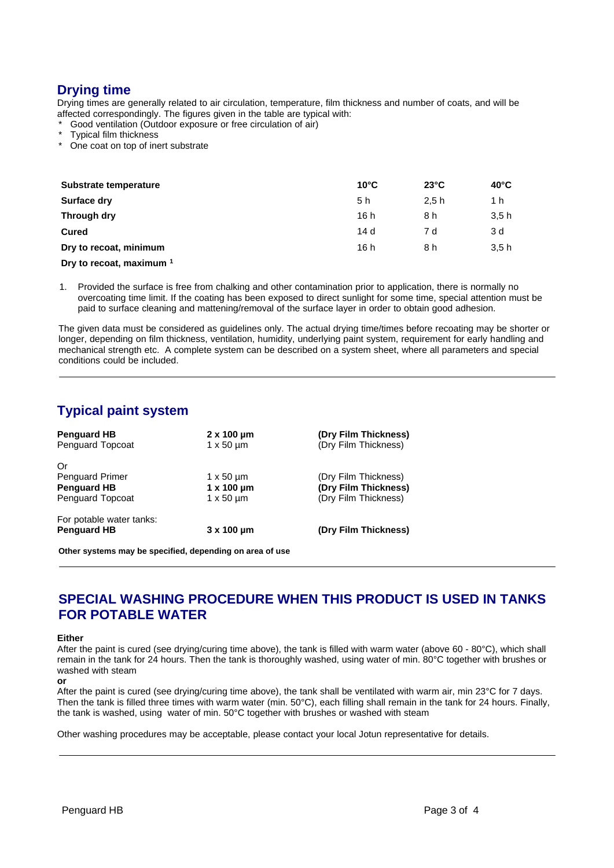# **Drying time**

Drying times are generally related to air circulation, temperature, film thickness and number of coats, and will be affected correspondingly. The figures given in the table are typical with:

- Good ventilation (Outdoor exposure or free circulation of air)
- **Typical film thickness**
- One coat on top of inert substrate

| Substrate temperature    | $10^{\circ}$ C | $23^{\circ}$ C | $40^{\circ}$ C |  |
|--------------------------|----------------|----------------|----------------|--|
| Surface dry              | 5 h            | 2.5h           | 1 h            |  |
| Through dry              | 16h            | 8 h            | 3.5h           |  |
| <b>Cured</b>             | 14d            | 7 d            | 3 d            |  |
| Dry to recoat, minimum   | 16h            | 8 h            | 3.5h           |  |
| Dry to recoat, maximum 1 |                |                |                |  |

1. Provided the surface is free from chalking and other contamination prior to application, there is normally no overcoating time limit. If the coating has been exposed to direct sunlight for some time, special attention must be paid to surface cleaning and mattening/removal of the surface layer in order to obtain good adhesion.

The given data must be considered as guidelines only. The actual drying time/times before recoating may be shorter or longer, depending on film thickness, ventilation, humidity, underlying paint system, requirement for early handling and mechanical strength etc. A complete system can be described on a system sheet, where all parameters and special conditions could be included.

# **Typical paint system**

| <b>Penguard HB</b>       | $2 \times 100 \mu m$ | (Dry Film Thickness) |
|--------------------------|----------------------|----------------------|
| Penguard Topcoat         | $1 \times 50 \mu m$  | (Dry Film Thickness) |
| Or                       |                      |                      |
| <b>Penguard Primer</b>   | $1 \times 50 \mu m$  | (Dry Film Thickness) |
| <b>Penguard HB</b>       | $1 \times 100 \mu m$ | (Dry Film Thickness) |
| Penguard Topcoat         | $1 \times 50 \mu m$  | (Dry Film Thickness) |
| For potable water tanks: |                      |                      |
| <b>Penguard HB</b>       | $3 \times 100$ um    | (Dry Film Thickness) |
|                          |                      |                      |

**Other systems may be specified, depending on area of use**

# **SPECIAL WASHING PROCEDURE WHEN THIS PRODUCT IS USED IN TANKS FOR POTABLE WATER**

#### **Either**

After the paint is cured (see drying/curing time above), the tank is filled with warm water (above 60 - 80°C), which shall remain in the tank for 24 hours. Then the tank is thoroughly washed, using water of min. 80°C together with brushes or washed with steam

After the paint is cured (see drying/curing time above), the tank shall be ventilated with warm air, min 23°C for 7 days. Then the tank is filled three times with warm water (min. 50°C), each filling shall remain in the tank for 24 hours. Finally, the tank is washed, using water of min. 50°C together with brushes or washed with steam

Other washing procedures may be acceptable, please contact your local Jotun representative for details.

**or**